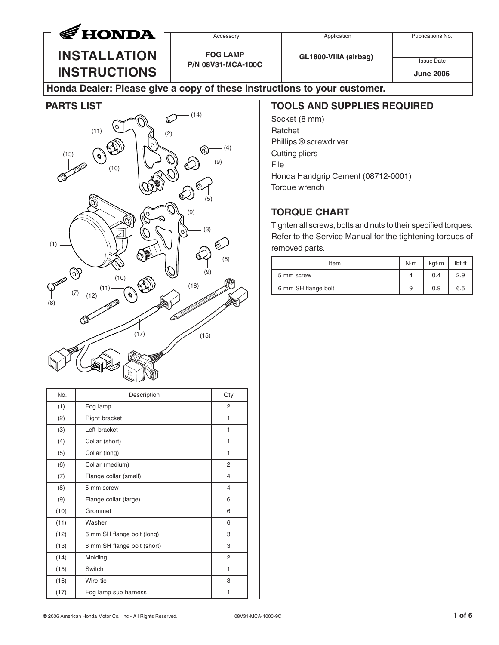

**INSTALLATION INSTRUCTIONS** **FOG LAMP**

**P/N 08V31-MCA-100C**

**GL1800-VIIIA (airbag)**

Issue Date **June 2006**

## **Honda Dealer: Please give a copy of these instructions to your customer.**

#### **PARTS LIST**



| No.  | Description                 | Qty            |
|------|-----------------------------|----------------|
| (1)  | Fog lamp                    | $\overline{2}$ |
| (2)  | <b>Right bracket</b>        | 1              |
| (3)  | Left bracket                | 1              |
| (4)  | Collar (short)              | 1              |
| (5)  | Collar (long)               | 1              |
| (6)  | Collar (medium)             | 2              |
| (7)  | Flange collar (small)       | 4              |
| (8)  | 5 mm screw                  | 4              |
| (9)  | Flange collar (large)       | 6              |
| (10) | Grommet                     | 6              |
| (11) | Washer                      | 6              |
| (12) | 6 mm SH flange bolt (long)  | 3              |
| (13) | 6 mm SH flange bolt (short) | 3              |
| (14) | Molding                     | $\overline{2}$ |
| (15) | Switch                      | 1              |
| (16) | Wire tie                    | 3              |
| (17) | Fog lamp sub harness        | 1              |

### **TOOLS AND SUPPLIES REQUIRED**

Socket (8 mm) Ratchet Phillips ® screwdriver Cutting pliers File Honda Handgrip Cement (08712-0001) Torque wrench

# **TORQUE CHART**

Tighten all screws, bolts and nuts to their specified torques. Refer to the Service Manual for the tightening torques of removed parts.

| Item                | $N \cdot m$ | kgf-m | $Ibf \cdot ft$ |
|---------------------|-------------|-------|----------------|
| 5 mm screw          |             | 0.4   | 2.9            |
| 6 mm SH flange bolt | 9           | 0.9   | 6.5            |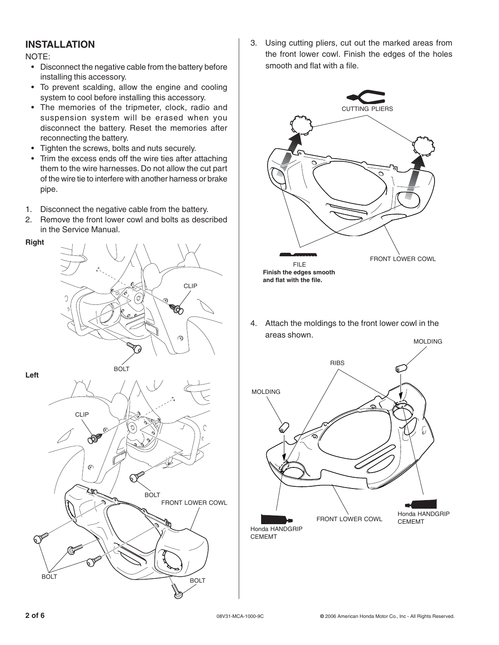## **INSTALLATION**

NOTE:

- Disconnect the negative cable from the battery before installing this accessory.
- To prevent scalding, allow the engine and cooling system to cool before installing this accessory.
- The memories of the tripmeter, clock, radio and suspension system will be erased when you disconnect the battery. Reset the memories after reconnecting the battery.
- Tighten the screws, bolts and nuts securely.
- Trim the excess ends off the wire ties after attaching them to the wire harnesses. Do not allow the cut part of the wire tie to interfere with another harness or brake pipe.
- 1. Disconnect the negative cable from the battery.
- 2. Remove the front lower cowl and bolts as described in the Service Manual.





3. Using cutting pliers, cut out the marked areas from the front lower cowl. Finish the edges of the holes smooth and flat with a file.



4. Attach the moldings to the front lower cowl in the areas shown.

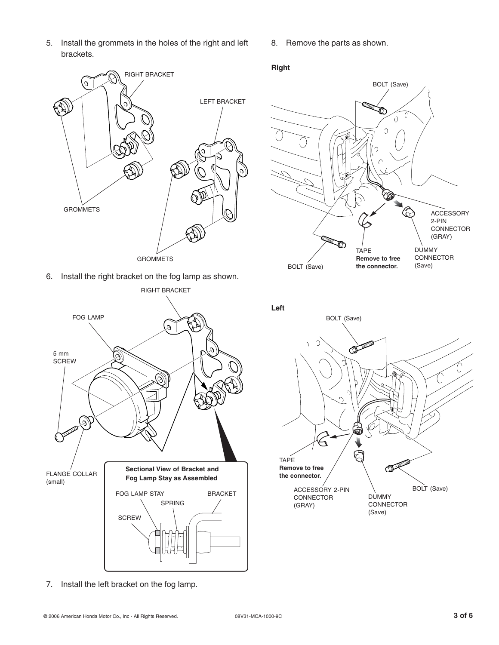5. Install the grommets in the holes of the right and left brackets.



6. Install the right bracket on the fog lamp as shown.



7. Install the left bracket on the fog lamp.

8. Remove the parts as shown.

#### **Right**

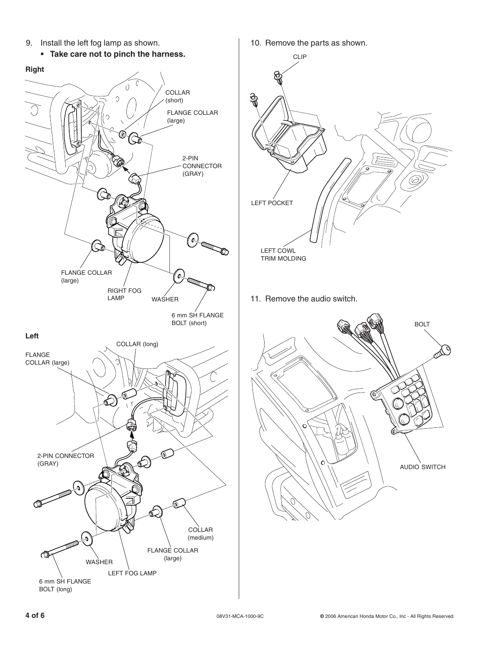

- 10. Remove the parts as shown. CLIP <u>ରୁ</u> LEFT POCKET LEFT COWL TRIM MOLDING
- 11. Remove the audio switch.

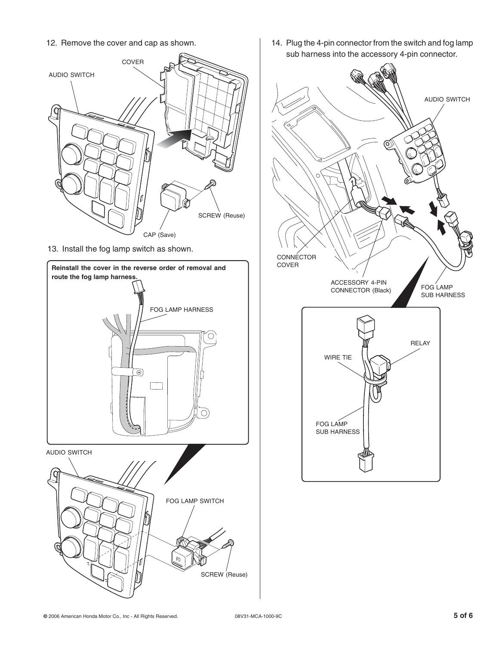12. Remove the cover and cap as shown.



13. Install the fog lamp switch as shown.



14. Plug the 4-pin connector from the switch and fog lamp sub harness into the accessory 4-pin connector.